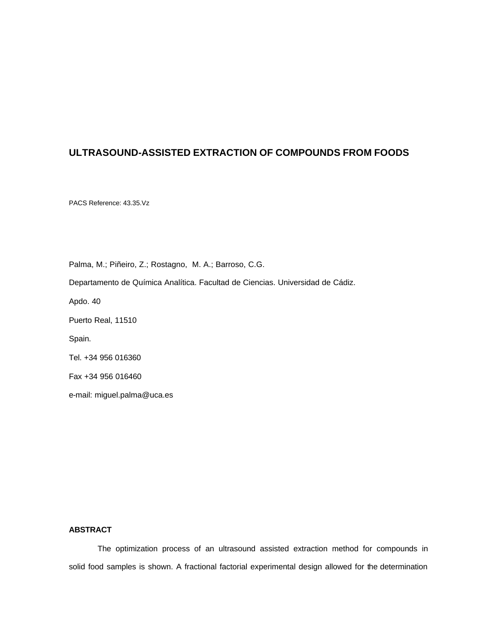# **ULTRASOUND-ASSISTED EXTRACTION OF COMPOUNDS FROM FOODS**

PACS Reference: 43.35.Vz

Palma, M.; Piñeiro, Z.; Rostagno, M. A.; Barroso, C.G.

Departamento de Química Analítica. Facultad de Ciencias. Universidad de Cádiz.

Apdo. 40

Puerto Real, 11510

Spain.

Tel. +34 956 016360

Fax +34 956 016460

e-mail: miguel.palma@uca.es

# **ABSTRACT**

The optimization process of an ultrasound assisted extraction method for compounds in solid food samples is shown. A fractional factorial experimental design allowed for the determination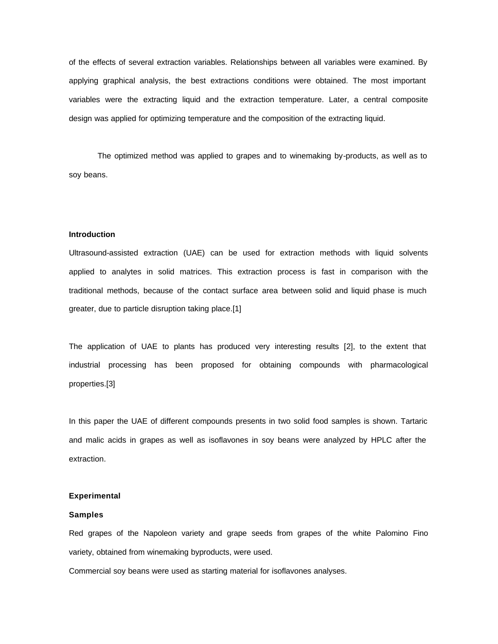of the effects of several extraction variables. Relationships between all variables were examined. By applying graphical analysis, the best extractions conditions were obtained. The most important variables were the extracting liquid and the extraction temperature. Later, a central composite design was applied for optimizing temperature and the composition of the extracting liquid.

The optimized method was applied to grapes and to winemaking by-products, as well as to soy beans.

#### **Introduction**

Ultrasound-assisted extraction (UAE) can be used for extraction methods with liquid solvents applied to analytes in solid matrices. This extraction process is fast in comparison with the traditional methods, because of the contact surface area between solid and liquid phase is much greater, due to particle disruption taking place.[1]

The application of UAE to plants has produced very interesting results [2], to the extent that industrial processing has been proposed for obtaining compounds with pharmacological properties.[3]

In this paper the UAE of different compounds presents in two solid food samples is shown. Tartaric and malic acids in grapes as well as isoflavones in soy beans were analyzed by HPLC after the extraction.

# **Experimental**

#### **Samples**

Red grapes of the Napoleon variety and grape seeds from grapes of the white Palomino Fino variety, obtained from winemaking byproducts, were used.

Commercial soy beans were used as starting material for isoflavones analyses.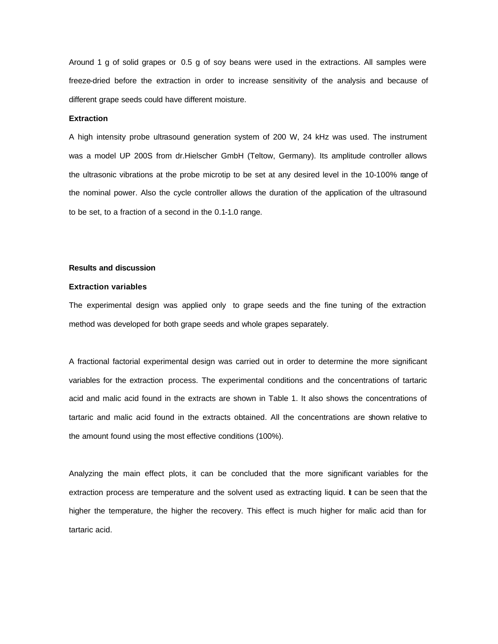Around 1 g of solid grapes or 0.5 g of soy beans were used in the extractions. All samples were freeze-dried before the extraction in order to increase sensitivity of the analysis and because of different grape seeds could have different moisture.

### **Extraction**

A high intensity probe ultrasound generation system of 200 W, 24 kHz was used. The instrument was a model UP 200S from dr.Hielscher GmbH (Teltow, Germany). Its amplitude controller allows the ultrasonic vibrations at the probe microtip to be set at any desired level in the 10-100% range of the nominal power. Also the cycle controller allows the duration of the application of the ultrasound to be set, to a fraction of a second in the 0.1-1.0 range.

# **Results and discussion**

### **Extraction variables**

The experimental design was applied only to grape seeds and the fine tuning of the extraction method was developed for both grape seeds and whole grapes separately.

A fractional factorial experimental design was carried out in order to determine the more significant variables for the extraction process. The experimental conditions and the concentrations of tartaric acid and malic acid found in the extracts are shown in Table 1. It also shows the concentrations of tartaric and malic acid found in the extracts obtained. All the concentrations are shown relative to the amount found using the most effective conditions (100%).

Analyzing the main effect plots, it can be concluded that the more significant variables for the extraction process are temperature and the solvent used as extracting liquid. It can be seen that the higher the temperature, the higher the recovery. This effect is much higher for malic acid than for tartaric acid.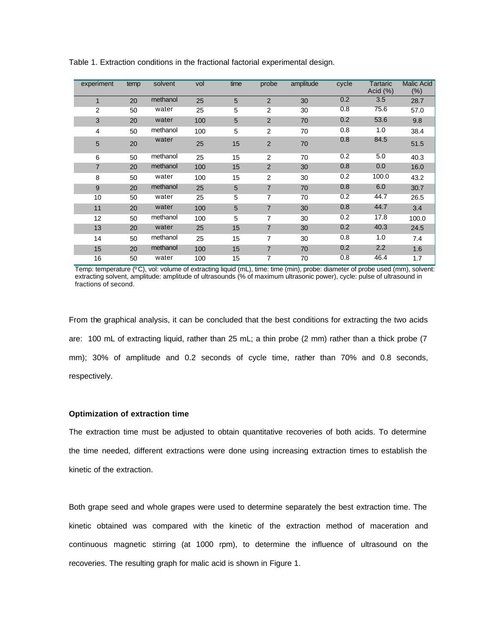| experiment     | temp | solvent  | vol | time | probe          | amplitude | cycle | Tartaric<br>Acid $(\%)$ | <b>Malic Acid</b><br>$(\% )$ |
|----------------|------|----------|-----|------|----------------|-----------|-------|-------------------------|------------------------------|
| $\mathbf{1}$   | 20   | methanol | 25  | 5    | 2              | 30        | 0.2   | 3.5                     | 28.7                         |
| 2              | 50   | water    | 25  | 5    | 2              | 30        | 0.8   | 75.6                    | 57.0                         |
| 3              | 20   | water    | 100 | 5    | $\overline{2}$ | 70        | 0.2   | 53.6                    | 9.8                          |
| 4              | 50   | methanol | 100 | 5    | $\overline{2}$ | 70        | 0.8   | 1.0                     | 38.4                         |
| 5              | 20   | water    | 25  | 15   | 2              | 70        | 0.8   | 84.5                    | 51.5                         |
| 6              | 50   | methanol | 25  | 15   | 2              | 70        | 0.2   | 5.0                     | 40.3                         |
| $\overline{7}$ | 20   | methanol | 100 | 15   | 2              | 30        | 0.8   | 0.0                     | 16.0                         |
| 8              | 50   | water    | 100 | 15   | 2              | 30        | 0.2   | 100.0                   | 43.2                         |
| 9              | 20   | methanol | 25  | 5    | $\overline{7}$ | 70        | 0.8   | 6.0                     | 30.7                         |
| 10             | 50   | water    | 25  | 5    | $\overline{7}$ | 70        | 0.2   | 44.7                    | 26.5                         |
| 11             | 20   | water    | 100 | 5    | $\overline{7}$ | 30        | 0.8   | 44.7                    | 3.4                          |
| 12             | 50   | methanol | 100 | 5    | 7              | 30        | 0.2   | 17.8                    | 100.0                        |
| 13             | 20   | water    | 25  | 15   | $\overline{7}$ | 30        | 0.2   | 40.3                    | 24.5                         |
| 14             | 50   | methanol | 25  | 15   | 7              | 30        | 0.8   | 1.0                     | 7.4                          |
| 15             | 20   | methanol | 100 | 15   | $\overline{7}$ | 70        | 0.2   | 2.2                     | 1.6                          |
| 16             | 50   | water    | 100 | 15   | 7              | 70        | 0.8   | 46.4                    | 1.7                          |
|                |      |          |     |      |                |           |       |                         |                              |

Table 1. Extraction conditions in the fractional factorial experimental design.

Temp: temperature (ºC), vol: volume of extracting liquid (mL), time: time (min), probe: diameter of probe used (mm), solvent: extracting solvent, amplitude: amplitude of ultrasounds (% of maximum ultrasonic power), cycle: pulse of ultrasound in fractions of second.

From the graphical analysis, it can be concluded that the best conditions for extracting the two acids are: 100 mL of extracting liquid, rather than 25 mL; a thin probe (2 mm) rather than a thick probe (7 mm); 30% of amplitude and 0.2 seconds of cycle time, rather than 70% and 0.8 seconds, respectively.

# **Optimization of extraction time**

The extraction time must be adjusted to obtain quantitative recoveries of both acids. To determine the time needed, different extractions were done using increasing extraction times to establish the kinetic of the extraction.

Both grape seed and whole grapes were used to determine separately the best extraction time. The kinetic obtained was compared with the kinetic of the extraction method of maceration and continuous magnetic stirring (at 1000 rpm), to determine the influence of ultrasound on the recoveries. The resulting graph for malic acid is shown in Figure 1.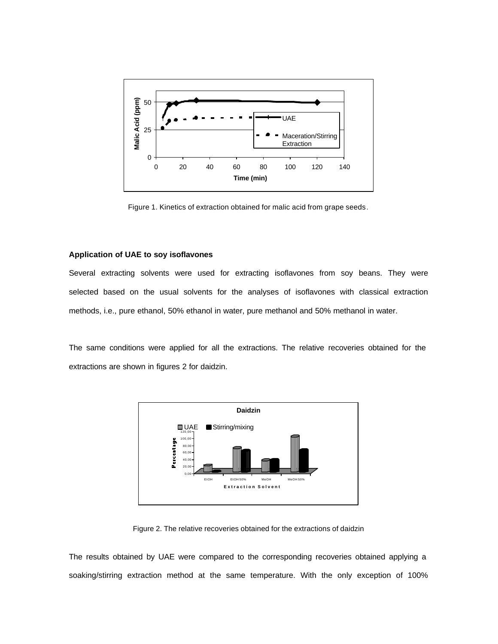

Figure 1. Kinetics of extraction obtained for malic acid from grape seeds.

# **Application of UAE to soy isoflavones**

Several extracting solvents were used for extracting isoflavones from soy beans. They were selected based on the usual solvents for the analyses of isoflavones with classical extraction methods, i.e., pure ethanol, 50% ethanol in water, pure methanol and 50% methanol in water.

The same conditions were applied for all the extractions. The relative recoveries obtained for the extractions are shown in figures 2 for daidzin.



Figure 2. The relative recoveries obtained for the extractions of daidzin

The results obtained by UAE were compared to the corresponding recoveries obtained applying a soaking/stirring extraction method at the same temperature. With the only exception of 100%